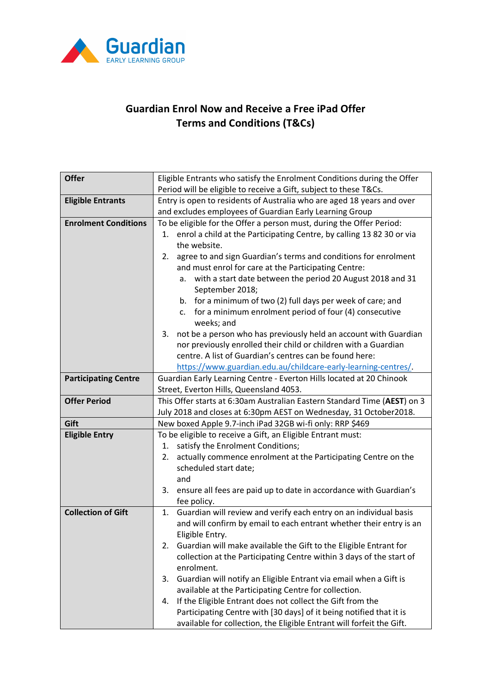

## **Guardian Enrol Now and Receive a Free iPad Offer Terms and Conditions (T&Cs)**

| <b>Offer</b>                | Eligible Entrants who satisfy the Enrolment Conditions during the Offer          |
|-----------------------------|----------------------------------------------------------------------------------|
|                             | Period will be eligible to receive a Gift, subject to these T&Cs.                |
| <b>Eligible Entrants</b>    | Entry is open to residents of Australia who are aged 18 years and over           |
|                             | and excludes employees of Guardian Early Learning Group                          |
| <b>Enrolment Conditions</b> | To be eligible for the Offer a person must, during the Offer Period:             |
|                             | 1. enrol a child at the Participating Centre, by calling 13 82 30 or via         |
|                             | the website.                                                                     |
|                             | agree to and sign Guardian's terms and conditions for enrolment<br>2.            |
|                             | and must enrol for care at the Participating Centre:                             |
|                             | a. with a start date between the period 20 August 2018 and 31                    |
|                             | September 2018;                                                                  |
|                             | b. for a minimum of two (2) full days per week of care; and                      |
|                             | c. for a minimum enrolment period of four (4) consecutive                        |
|                             | weeks; and                                                                       |
|                             | not be a person who has previously held an account with Guardian<br>3.           |
|                             | nor previously enrolled their child or children with a Guardian                  |
|                             | centre. A list of Guardian's centres can be found here:                          |
|                             | https://www.guardian.edu.au/childcare-early-learning-centres/.                   |
| <b>Participating Centre</b> | Guardian Early Learning Centre - Everton Hills located at 20 Chinook             |
|                             | Street, Everton Hills, Queensland 4053.                                          |
| <b>Offer Period</b>         | This Offer starts at 6:30am Australian Eastern Standard Time (AEST) on 3         |
|                             | July 2018 and closes at 6:30pm AEST on Wednesday, 31 October2018.                |
| Gift                        | New boxed Apple 9.7-inch iPad 32GB wi-fi only: RRP \$469                         |
| <b>Eligible Entry</b>       | To be eligible to receive a Gift, an Eligible Entrant must:                      |
|                             | satisfy the Enrolment Conditions;<br>1.                                          |
|                             | actually commence enrolment at the Participating Centre on the<br>2.             |
|                             | scheduled start date;<br>and                                                     |
|                             | 3.                                                                               |
|                             | ensure all fees are paid up to date in accordance with Guardian's<br>fee policy. |
| <b>Collection of Gift</b>   | Guardian will review and verify each entry on an individual basis<br>1.          |
|                             | and will confirm by email to each entrant whether their entry is an              |
|                             | Eligible Entry.                                                                  |
|                             | Guardian will make available the Gift to the Eligible Entrant for<br>2.          |
|                             | collection at the Participating Centre within 3 days of the start of             |
|                             | enrolment.                                                                       |
|                             | Guardian will notify an Eligible Entrant via email when a Gift is<br>3.          |
|                             | available at the Participating Centre for collection.                            |
|                             | If the Eligible Entrant does not collect the Gift from the<br>4.                 |
|                             | Participating Centre with [30 days] of it being notified that it is              |
|                             | available for collection, the Eligible Entrant will forfeit the Gift.            |